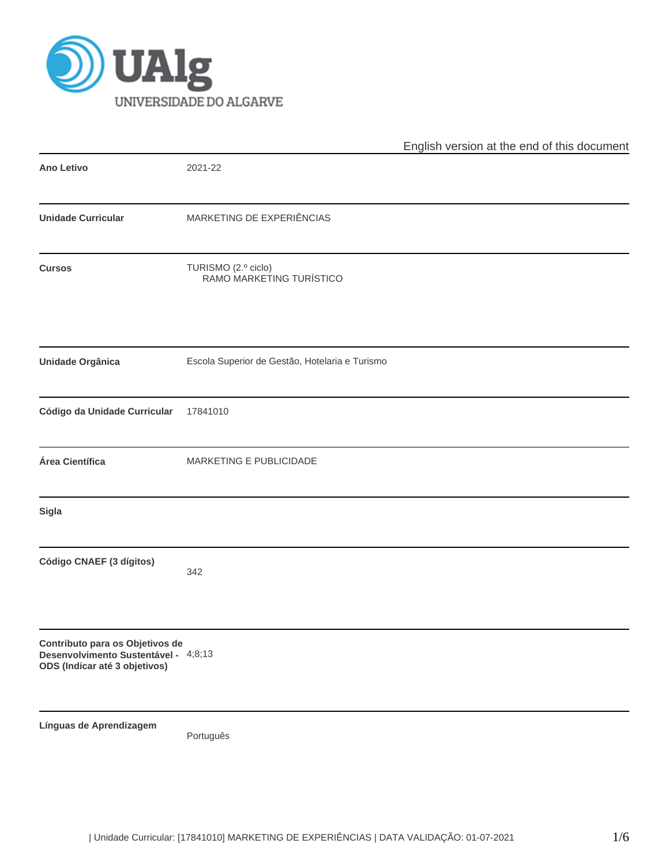

|                                                                                                          |                                                 | English version at the end of this document |
|----------------------------------------------------------------------------------------------------------|-------------------------------------------------|---------------------------------------------|
| <b>Ano Letivo</b>                                                                                        | 2021-22                                         |                                             |
| <b>Unidade Curricular</b>                                                                                | MARKETING DE EXPERIÊNCIAS                       |                                             |
| <b>Cursos</b>                                                                                            | TURISMO (2.º ciclo)<br>RAMO MARKETING TURÍSTICO |                                             |
| <b>Unidade Orgânica</b>                                                                                  | Escola Superior de Gestão, Hotelaria e Turismo  |                                             |
| Código da Unidade Curricular                                                                             | 17841010                                        |                                             |
| Área Científica                                                                                          | MARKETING E PUBLICIDADE                         |                                             |
| Sigla                                                                                                    |                                                 |                                             |
| Código CNAEF (3 dígitos)                                                                                 | 342                                             |                                             |
| Contributo para os Objetivos de<br>Desenvolvimento Sustentável - 4;8;13<br>ODS (Indicar até 3 objetivos) |                                                 |                                             |
| Línguas de Aprendizagem                                                                                  | Português                                       |                                             |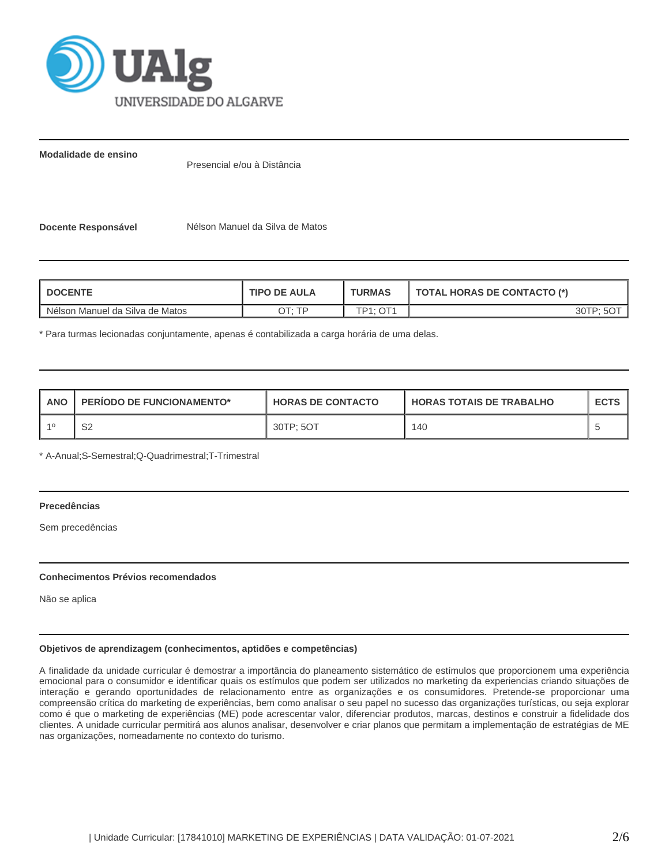

**Modalidade de ensino**

Presencial e/ou à Distância

**Docente Responsável** Nélson Manuel da Silva de Matos

| <b>I DOCENTE</b>                | <b>TIPO DE AULA</b> | <b>TURMAS</b>     | <b>TOTAL HORAS DE CONTACTO (*)</b> |  |  |
|---------------------------------|---------------------|-------------------|------------------------------------|--|--|
| Nélson Manuel da Silva de Matos | סד ּידר             | $\bigcap$<br>TD4. |                                    |  |  |

\* Para turmas lecionadas conjuntamente, apenas é contabilizada a carga horária de uma delas.

| <b>ANO</b> | <b>PERIODO DE FUNCIONAMENTO*</b> | <b>HORAS DE CONTACTO</b> | <b>HORAS TOTAIS DE TRABALHO</b> | <b>ECTS</b> |
|------------|----------------------------------|--------------------------|---------------------------------|-------------|
| $-40$      | r o<br>ےت                        | 30TP: 5OT                | 140                             |             |

\* A-Anual;S-Semestral;Q-Quadrimestral;T-Trimestral

# **Precedências**

Sem precedências

# **Conhecimentos Prévios recomendados**

Não se aplica

# **Objetivos de aprendizagem (conhecimentos, aptidões e competências)**

A finalidade da unidade curricular é demostrar a importância do planeamento sistemático de estímulos que proporcionem uma experiência emocional para o consumidor e identificar quais os estímulos que podem ser utilizados no marketing da experiencias criando situações de interação e gerando oportunidades de relacionamento entre as organizações e os consumidores. Pretende-se proporcionar uma compreensão crítica do marketing de experiências, bem como analisar o seu papel no sucesso das organizações turísticas, ou seja explorar como é que o marketing de experiências (ME) pode acrescentar valor, diferenciar produtos, marcas, destinos e construir a fidelidade dos clientes. A unidade curricular permitirá aos alunos analisar, desenvolver e criar planos que permitam a implementação de estratégias de ME nas organizações, nomeadamente no contexto do turismo.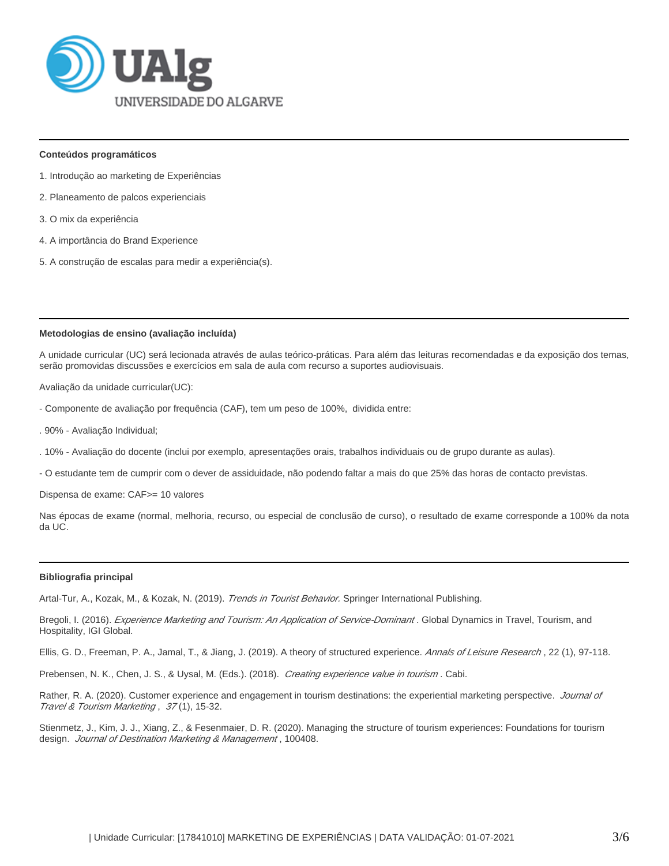

#### **Conteúdos programáticos**

- 1. Introdução ao marketing de Experiências
- 2. Planeamento de palcos experienciais
- 3. O mix da experiência
- 4. A importância do Brand Experience
- 5. A construção de escalas para medir a experiência(s).

#### **Metodologias de ensino (avaliação incluída)**

A unidade curricular (UC) será lecionada através de aulas teórico-práticas. Para além das leituras recomendadas e da exposição dos temas, serão promovidas discussões e exercícios em sala de aula com recurso a suportes audiovisuais.

Avaliação da unidade curricular(UC):

- Componente de avaliação por frequência (CAF), tem um peso de 100%, dividida entre:
- . 90% Avaliação Individual;
- . 10% Avaliação do docente (inclui por exemplo, apresentações orais, trabalhos individuais ou de grupo durante as aulas).
- O estudante tem de cumprir com o dever de assiduidade, não podendo faltar a mais do que 25% das horas de contacto previstas.

Dispensa de exame: CAF>= 10 valores

Nas épocas de exame (normal, melhoria, recurso, ou especial de conclusão de curso), o resultado de exame corresponde a 100% da nota da UC.

#### **Bibliografia principal**

Artal-Tur, A., Kozak, M., & Kozak, N. (2019). Trends in Tourist Behavior. Springer International Publishing.

Bregoli, I. (2016). Experience Marketing and Tourism: An Application of Service-Dominant. Global Dynamics in Travel, Tourism, and Hospitality, IGI Global.

Ellis, G. D., Freeman, P. A., Jamal, T., & Jiang, J. (2019). A theory of structured experience. Annals of Leisure Research, 22 (1), 97-118.

Prebensen, N. K., Chen, J. S., & Uysal, M. (Eds.). (2018). Creating experience value in tourism. Cabi.

Rather, R. A. (2020). Customer experience and engagement in tourism destinations: the experiential marketing perspective. Journal of Travel & Tourism Marketing , 37 (1), 15-32.

Stienmetz, J., Kim, J. J., Xiang, Z., & Fesenmaier, D. R. (2020). Managing the structure of tourism experiences: Foundations for tourism design. Journal of Destination Marketing & Management, 100408.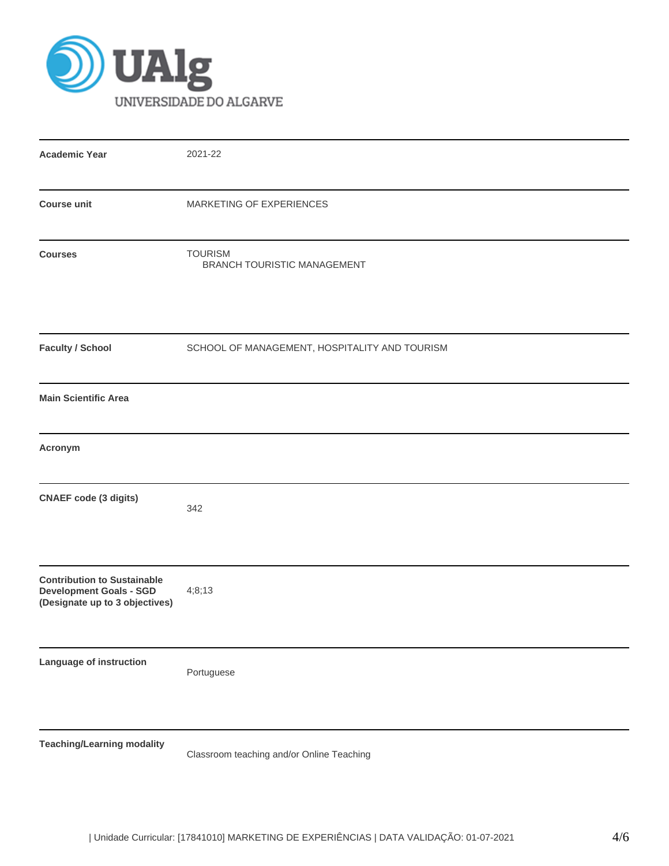

| <b>Academic Year</b>                                                                                   | 2021-22                                              |
|--------------------------------------------------------------------------------------------------------|------------------------------------------------------|
| <b>Course unit</b>                                                                                     | MARKETING OF EXPERIENCES                             |
| <b>Courses</b>                                                                                         | <b>TOURISM</b><br><b>BRANCH TOURISTIC MANAGEMENT</b> |
| <b>Faculty / School</b>                                                                                | SCHOOL OF MANAGEMENT, HOSPITALITY AND TOURISM        |
| <b>Main Scientific Area</b>                                                                            |                                                      |
| Acronym                                                                                                |                                                      |
| <b>CNAEF</b> code (3 digits)                                                                           | 342                                                  |
| <b>Contribution to Sustainable</b><br><b>Development Goals - SGD</b><br>(Designate up to 3 objectives) | 4;8;13                                               |
| <b>Language of instruction</b>                                                                         | Portuguese                                           |
| <b>Teaching/Learning modality</b>                                                                      | Classroom teaching and/or Online Teaching            |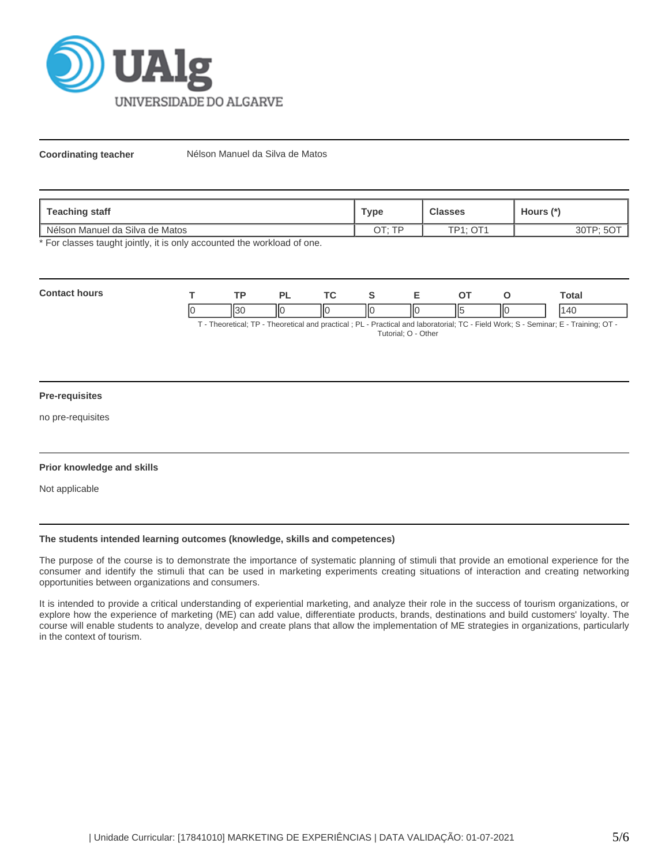

**Coordinating teacher** Nélson Manuel da Silva de Matos

| staff<br>Teaching          | "уре                    | Classes   | Hours (*' |  |
|----------------------------|-------------------------|-----------|-----------|--|
| n Manuel da Silva de Matos | <b>TF</b>               | $\cap T'$ | ◡         |  |
| l Nélson                   | $\cap$ T $\cdot$ $\cap$ | TD4.      |           |  |

\* For classes taught jointly, it is only accounted the workload of one.

| Cont | TD. |     | <u>те</u> |   | -  |    |    | Гоtal |
|------|-----|-----|-----------|---|----|----|----|-------|
|      |     | IІC | ШC        | Ш | ΠС | Ιl | IЮ | ΛΙ    |

T - Theoretical; TP - Theoretical and practical ; PL - Practical and laboratorial; TC - Field Work; S - Seminar; E - Training; OT - Tutorial; O - Other

# **Pre-requisites**

no pre-requisites

# **Prior knowledge and skills**

Not applicable

# **The students intended learning outcomes (knowledge, skills and competences)**

The purpose of the course is to demonstrate the importance of systematic planning of stimuli that provide an emotional experience for the consumer and identify the stimuli that can be used in marketing experiments creating situations of interaction and creating networking opportunities between organizations and consumers.

It is intended to provide a critical understanding of experiential marketing, and analyze their role in the success of tourism organizations, or explore how the experience of marketing (ME) can add value, differentiate products, brands, destinations and build customers' loyalty. The course will enable students to analyze, develop and create plans that allow the implementation of ME strategies in organizations, particularly in the context of tourism.